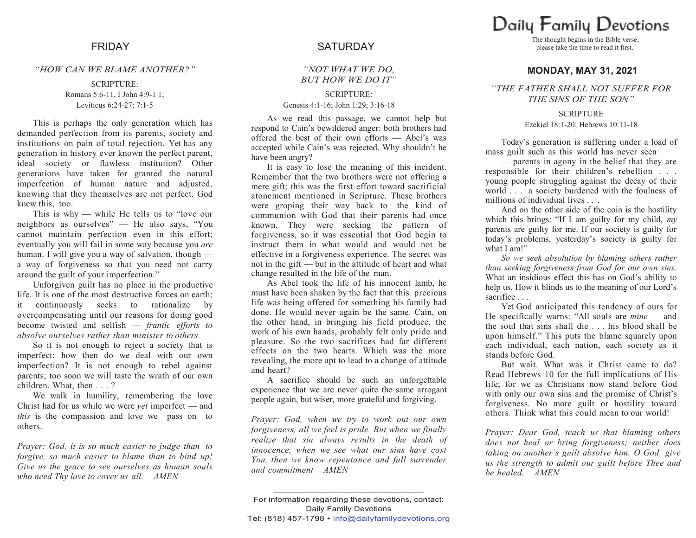## *"HOW CAN WE BLAME ANOTHER?"*

## SCRIPTURE: Romans 5:6-11, I John 4:9-1 1; Leviticus 6:24-27; 7:1-5

This is perhaps the only generation which has demanded perfection from its parents, society and institutions on pain of total rejection. Yet has any generation in history ever known the perfect parent, ideal society or flawless institution? Other generations have taken for granted the natural imperfection of human nature and adjusted, knowing that they themselves are not perfect. God knew this, too.

This is why — while He tells us to "love our neighbors as ourselves" — He also says, "You cannot maintain perfection even in this effort; eventually you will fail in some way because you *are*  human. I will give you a way of salvation, though a way of forgiveness so that you need not carry around the guilt of your imperfection."

Unforgiven guilt has no place in the productive life. It is one of the most destructive forces on earth; it continuously seeks to rationalize by overcompensating until our reasons for doing good become twisted and selfish — *frantic efforts to absolve ourselves rather than minister to others.*

So it is not enough to reject a society that is imperfect: how then do we deal with our own imperfection? It is not enough to rebel against parents; too soon we will taste the wrath of our own children. What, then . . . ?

We walk in humility, remembering the love Christ had for us while we were *yet* imperfect — and *this* is the compassion and love we pass on to others.

*Prayer: God, it is so much easier to judge than to forgive, so much easier to blame than to bind up! Give us the grace to see ourselves as human souls who need Thy love to cover us all. AMEN*

# FRIDAY SATURDAY

# *"NOT WHAT WE DO, BUT HOW WE DO IT"*

# SCRIPTURE:

Genesis 4:1-16; John 1:29; 3:16-18

As we read this passage, we cannot help but respond to Cain's bewildered anger: both brothers had offered the best of their own efforts — Abel's was accepted while Cain's was rejected. Why shouldn't he have been angry?

It is easy to lose the meaning of this incident. Remember that the two brothers were not offering a mere gift; this was the first effort toward sacrificial atonement mentioned in Scripture. These brothers were groping their way back to the kind of communion with God that their parents had once known. They were seeking the pattern of forgiveness, so it was essential that God begin to instruct them in what would and would not be effective in a forgiveness experience. The secret was not in the gift — but in the attitude of heart and what change resulted in the life of the man.

As Abel took the life of his innocent lamb, he must have been shaken by the fact that this precious life was being offered for something his family had done. He would never again be the same. Cain, on the other hand, in bringing his field produce, the work of his own hands, probably felt only pride and pleasure. So the two sacrifices had far different effects on the two hearts. Which was the more revealing, the more apt to lead to a change of attitude and heart?

A sacrifice should be such an unforgettable experience that we are never quite the same arrogant people again, but wiser, more grateful and forgiving.

*Prayer: God, when we try to work out our own forgiveness, all we feel is pride. But when we finally realize that sin always results in the death of innocence, when we see what our sins have cost You, then we know repentance and full surrender and commitment AMEN*

Daily Family Devotions

The thought begins in the Bible verse; please take the time to read it first.

# **MONDAY, MAY 31, 2021**

*"THE FATHER SHALL NOT SUFFER FOR THE SINS OF THE SON"*

## **SCRIPTURE** Ezekiel 18:1-20; Hebrews 10:11-18

Today's generation is suffering under a load of mass guilt such as this world has never seen

— parents in agony in the belief that they are responsible for their children's rebellion . . . young people struggling against the decay of their world . . . a society burdened with the foulness of millions of individual lives . . .

And on the other side of the coin is the hostility which this brings: "If I am guilty for my child, *my*  parents are guilty for me. If our society is guilty for today's problems, yesterday's society is guilty for what I am!"

*So we seek absolution by blaming others rather than seeking forgiveness from God for our own sins.*  What an insidious effect this has on God's ability to help us. How it blinds us to the meaning of our Lord's sacrifice . . .

Yet God anticipated this tendency of ours for He specifically warns: "All souls are *mine* — and the soul that sins shall die . . . his blood shall be upon himself." This puts the blame squarely upon each individual, each nation, each society as it stands before God.

But wait. What was it Christ came to do? Read Hebrews 10 for the full implications of His life; for we as Christians now stand before God with only our own sins and the promise of Christ's forgiveness. No more guilt or hostility toward others. Think what this could mean to our world!

*Prayer: Dear God, teach us that blaming others does not heal or bring forgiveness; neither does taking on another's guilt absolve him. O God, give us the strength to admit our guilt before Thee and be healed. AMEN*

**\_\_\_\_\_\_\_\_\_\_\_\_\_\_\_\_\_\_\_\_\_\_\_\_\_\_\_\_\_\_\_\_\_\_\_\_\_\_\_\_\_\_\_\_**